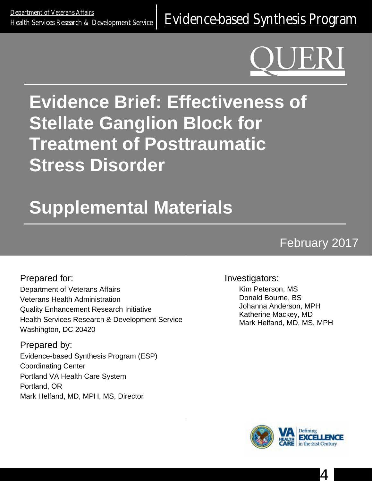<u>Department of Veteralis Alialis</u><br>[Health Services Research & Development Service](http://www.hsrd.research.va.gov/) E**Vidence-based Synthesis Program** 

# **Evidence Brief: Effectiveness of Stellate Ganglion Block for Treatment of Posttraumatic Stress Disorder**

# **Supplemental Materials**

# February 2017

Prepared for: Department of Veterans Affairs Veterans Health Administration Quality Enhancement Research Initiative Health Services Research & Development Service Washington, DC 20420

Prepared by: Evidence-based Synthesis Program (ESP) Coordinating Center Portland VA Health Care System Portland, OR Mark Helfand, MD, MPH, MS, Director

#### Investigators:

Kim Peterson, MS Donald Bourne, BS Johanna Anderson, MPH Katherine Mackey, MD Mark Helfand, MD, MS, MPH



4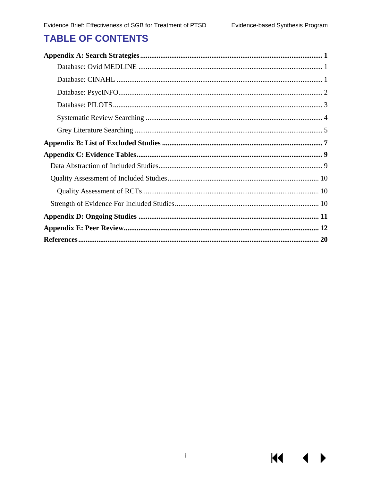**KK** 

# **TABLE OF CONTENTS**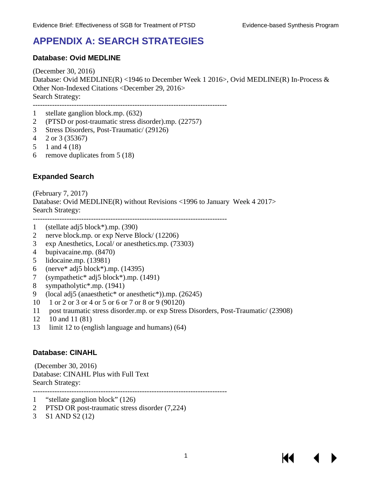# <span id="page-2-0"></span>**APPENDIX A: SEARCH STRATEGIES**

#### <span id="page-2-1"></span>**Database: Ovid MEDLINE**

(December 30, 2016) Database: Ovid MEDLINE(R) <1946 to December Week 1 2016>, Ovid MEDLINE(R) In-Process & Other Non-Indexed Citations <December 29, 2016> Search Strategy:

--------------------------------------------------------------------------------

- 1 stellate ganglion block.mp. (632)
- 2 (PTSD or post-traumatic stress disorder).mp. (22757)
- 3 Stress Disorders, Post-Traumatic/ (29126)
- 4 2 or 3 (35367)
- 5 1 and 4 (18)
- 6 remove duplicates from 5 (18)

#### **Expanded Search**

(February 7, 2017) Database: Ovid MEDLINE(R) without Revisions <1996 to January Week 4 2017> Search Strategy: --------------------------------------------------------------------------------

- 1 (stellate adj5 block\*).mp. (390)
- 2 nerve block.mp. or exp Nerve Block/ (12206)
- 3 exp Anesthetics, Local/ or anesthetics.mp. (73303)
- 4 bupivacaine.mp. (8470)
- 5 lidocaine.mp. (13981)
- 6 (nerve\* adj5 block\*).mp. (14395)
- 7 (sympathetic\* adj5 block\*).mp. (1491)
- 8 sympatholytic\*.mp. (1941)
- 9 (local adj5 (anaesthetic<sup>\*</sup> or anesthetic<sup>\*</sup>)).mp. (26245)
- 10 1 or 2 or 3 or 4 or 5 or 6 or 7 or 8 or 9 (90120)
- 11 post traumatic stress disorder.mp. or exp Stress Disorders, Post-Traumatic/ (23908)

--------------------------------------------------------------------------------

- 12 10 and 11 (81)
- 13 limit 12 to (english language and humans) (64)

#### <span id="page-2-2"></span>**Database: CINAHL**

(December 30, 2016) Database: CINAHL Plus with Full Text Search Strategy:

- 1 "stellate ganglion block" (126)
- 2 PTSD OR post-traumatic stress disorder (7,224)
- 3 S1 AND S2 (12)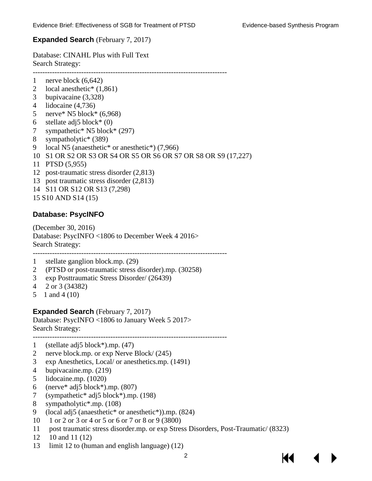#### **Expanded Search** (February 7, 2017)

Database: CINAHL Plus with Full Text Search Strategy: --------------------------------------------------------------------------------

- 1 nerve block (6,642)
- 2 local anesthetic<sup>\*</sup> (1,861)
- 3 bupivacaine (3,328)
- 4 lidocaine (4,736)
- 5 nerve\* N5 block\* (6,968)
- 6 stellate adj5 block\*  $(0)$
- 7 sympathetic\* N5 block\* (297)
- 8 sympatholytic\* (389)
- 9 local N5 (anaesthetic\* or anesthetic\*) (7,966)
- 10 S1 OR S2 OR S3 OR S4 OR S5 OR S6 OR S7 OR S8 OR S9 (17,227)
- 11 PTSD (5,955)
- 12 post-traumatic stress disorder (2,813)
- 13 post traumatic stress disorder (2,813)
- 14 S11 OR S12 OR S13 (7,298)
- 15 S10 AND S14 (15)

#### <span id="page-3-0"></span>**Database: PsycINFO**

(December 30, 2016) Database: PsycINFO <1806 to December Week 4 2016> Search Strategy:

--------------------------------------------------------------------------------

- 1 stellate ganglion block.mp. (29)
- 2 (PTSD or post-traumatic stress disorder).mp. (30258)
- 3 exp Posttraumatic Stress Disorder/ (26439)
- 4 2 or 3 (34382)
- 5 1 and 4 (10)

#### **Expanded Search** (February 7, 2017)

Database: PsycINFO <1806 to January Week 5 2017> Search Strategy: --------------------------------------------------------------------------------

- 1 (stellate adj5 block\*).mp. (47)
- 2 nerve block.mp. or exp Nerve Block/ (245)
- 3 exp Anesthetics, Local/ or anesthetics.mp. (1491)
- 4 bupivacaine.mp. (219)
- 5 lidocaine.mp. (1020)
- 6 (nerve\* adj5 block\*).mp. (807)
- 7 (sympathetic\* adj5 block\*).mp. (198)
- 8 sympatholytic\*.mp. (108)
- 9 (local adj5 (anaesthetic\* or anesthetic\*)).mp. (824)
- 10 1 or 2 or 3 or 4 or 5 or 6 or 7 or 8 or 9 (3800)
- 11 post traumatic stress disorder.mp. or exp Stress Disorders, Post-Traumatic/ (8323)
- 12 10 and 11 (12)
- 13 limit 12 to (human and english language) (12)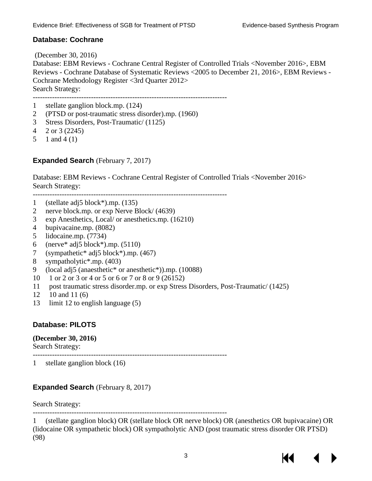#### **Database: Cochrane**

(December 30, 2016) Database: EBM Reviews - Cochrane Central Register of Controlled Trials <November 2016>, EBM Reviews - Cochrane Database of Systematic Reviews <2005 to December 21, 2016>, EBM Reviews - Cochrane Methodology Register <3rd Quarter 2012> Search Strategy: --------------------------------------------------------------------------------

1 stellate ganglion block.mp. (124)

- 2 (PTSD or post-traumatic stress disorder).mp. (1960)
- 3 Stress Disorders, Post-Traumatic/ (1125)
- 4 2 or 3 (2245)
- 5 1 and 4 (1)

#### **Expanded Search** (February 7, 2017)

Database: EBM Reviews - Cochrane Central Register of Controlled Trials <November 2016> Search Strategy:

-------------------------------------------------------------------------------- 1 (stellate adj5 block\*).mp. (135)

- 2 nerve block.mp. or exp Nerve Block/ (4639)
- 3 exp Anesthetics, Local/ or anesthetics.mp. (16210)
- 4 bupivacaine.mp. (8082)
- 5 lidocaine.mp. (7734)
- 6 (nerve\* adj5 block\*).mp. (5110)
- 7 (sympathetic\* adj5 block\*).mp. (467)
- 8 sympatholytic\*.mp. (403)
- 9 (local adj5 (anaesthetic\* or anesthetic\*)).mp. (10088)
- 10 1 or 2 or 3 or 4 or 5 or 6 or 7 or 8 or 9 (26152)
- 11 post traumatic stress disorder.mp. or exp Stress Disorders, Post-Traumatic/ (1425)

--------------------------------------------------------------------------------

- 12 10 and 11 (6)
- 13 limit 12 to english language (5)

#### <span id="page-4-0"></span>**Database: PILOTS**

#### **(December 30, 2016)**

Search Strategy:

1 stellate ganglion block (16)

#### **Expanded Search** (February 8, 2017)

Search Strategy:

--------------------------------------------------------------------------------

1 (stellate ganglion block) OR (stellate block OR nerve block) OR (anesthetics OR bupivacaine) OR (lidocaine OR sympathetic block) OR sympatholytic AND (post traumatic stress disorder OR PTSD) (98)

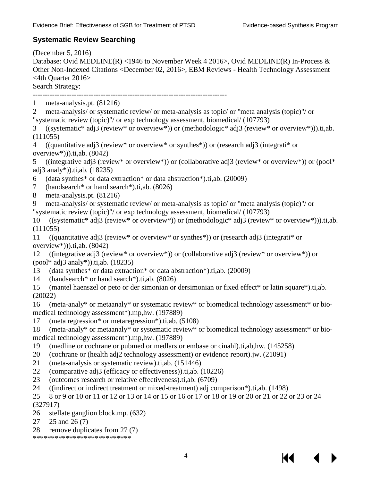#### <span id="page-5-0"></span>**Systematic Review Searching**

(December 5, 2016)

Database: Ovid MEDLINE(R) <1946 to November Week 4 2016>, Ovid MEDLINE(R) In-Process & Other Non-Indexed Citations <December 02, 2016>, EBM Reviews - Health Technology Assessment <4th Quarter 2016>

Search Strategy:

- --------------------------------------------------------------------------------
- 1 meta-analysis.pt. (81216)
- 2 meta-analysis/ or systematic review/ or meta-analysis as topic/ or "meta analysis (topic)"/ or "systematic review (topic)"/ or exp technology assessment, biomedical/ (107793)

3 ((systematic\* adj3 (review\* or overview\*)) or (methodologic\* adj3 (review\* or overview\*))).ti,ab. (111055)

4 ((quantitative adj3 (review\* or overview\* or synthes\*)) or (research adj3 (integrati\* or overview\*))).ti,ab. (8042)

5 ((integrative adj3 (review\* or overview\*)) or (collaborative adj3 (review\* or overview\*)) or (pool\* adj3 analy\*)).ti,ab. (18235)

- 6 (data synthes\* or data extraction\* or data abstraction\*).ti,ab. (20009)
- 7 (handsearch\* or hand search\*).ti,ab. (8026)
- 8 meta-analysis.pt. (81216)
- 9 meta-analysis/ or systematic review/ or meta-analysis as topic/ or "meta analysis (topic)"/ or

"systematic review (topic)"/ or exp technology assessment, biomedical/ (107793)

10 ((systematic\* adj3 (review\* or overview\*)) or (methodologic\* adj3 (review\* or overview\*))).ti,ab. (111055)

11 ((quantitative adj3 (review\* or overview\* or synthes\*)) or (research adj3 (integrati\* or overview\*))).ti,ab. (8042)

12 ((integrative adj3 (review\* or overview\*)) or (collaborative adj3 (review\* or overview\*)) or (pool\* adj3 analy\*)).ti,ab. (18235)

- 13 (data synthes\* or data extraction\* or data abstraction\*).ti,ab. (20009)
- 14 (handsearch\* or hand search\*).ti,ab. (8026)

15 (mantel haenszel or peto or der simonian or dersimonian or fixed effect\* or latin square\*).ti,ab. (20022)

16 (meta-analy\* or metaanaly\* or systematic review\* or biomedical technology assessment\* or biomedical technology assessment\*).mp,hw. (197889)

17 (meta regression\* or metaregression\*).ti,ab. (5108)

18 (meta-analy\* or metaanaly\* or systematic review\* or biomedical technology assessment\* or biomedical technology assessment\*).mp,hw. (197889)

- 19 (medline or cochrane or pubmed or medlars or embase or cinahl).ti,ab,hw. (145258)
- 20 (cochrane or (health adj2 technology assessment) or evidence report).jw. (21091)
- 21 (meta-analysis or systematic review).ti,ab. (151446)
- 22 (comparative adj3 (efficacy or effectiveness)).ti,ab. (10226)
- 23 (outcomes research or relative effectiveness).ti,ab. (6709)
- 24 ((indirect or indirect treatment or mixed-treatment) adj comparison\*).ti,ab. (1498)
- 25 8 or 9 or 10 or 11 or 12 or 13 or 14 or 15 or 16 or 17 or 18 or 19 or 20 or 21 or 22 or 23 or 24 (327917)
- 26 stellate ganglion block.mp. (632)
- 27 25 and 26 (7)
- 28 remove duplicates from 27 (7)
- \*\*\*\*\*\*\*\*\*\*\*\*\*\*\*\*\*\*\*\*\*\*\*\*\*\*\*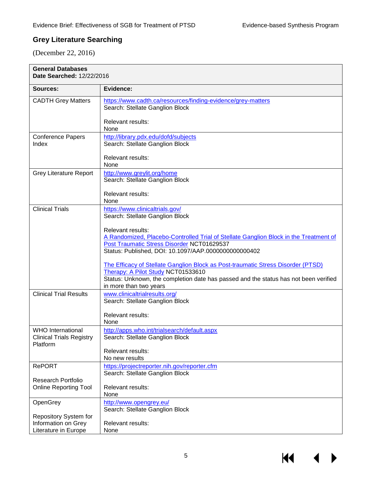#### <span id="page-6-0"></span>**Grey Literature Searching**

(December 22, 2016)

| <b>General Databases</b><br>Date Searched: 12/22/2016                   |                                                                                                                        |
|-------------------------------------------------------------------------|------------------------------------------------------------------------------------------------------------------------|
| Sources:                                                                | Evidence:                                                                                                              |
| <b>CADTH Grey Matters</b>                                               | https://www.cadth.ca/resources/finding-evidence/grey-matters<br>Search: Stellate Ganglion Block                        |
|                                                                         | Relevant results:<br>None                                                                                              |
| <b>Conference Papers</b><br>Index                                       | http://library.pdx.edu/dofd/subjects<br>Search: Stellate Ganglion Block<br><b>Relevant results:</b>                    |
|                                                                         | None                                                                                                                   |
| <b>Grey Literature Report</b>                                           | http://www.greylit.org/home<br>Search: Stellate Ganglion Block                                                         |
|                                                                         | <b>Relevant results:</b><br>None                                                                                       |
| <b>Clinical Trials</b>                                                  | https://www.clinicaltrials.gov/<br>Search: Stellate Ganglion Block                                                     |
|                                                                         | <b>Relevant results:</b><br>A Randomized, Placebo-Controlled Trial of Stellate Ganglion Block in the Treatment of      |
|                                                                         | Post Traumatic Stress Disorder NCT01629537<br>Status: Published, DOI: 10.1097/AAP.0000000000000402                     |
|                                                                         | The Efficacy of Stellate Ganglion Block as Post-traumatic Stress Disorder (PTSD)<br>Therapy: A Pilot Study NCT01533610 |
|                                                                         | Status: Unknown, the completion date has passed and the status has not been verified<br>in more than two years         |
| <b>Clinical Trial Results</b>                                           | www.clinicaltrialresults.org/<br>Search: Stellate Ganglion Block                                                       |
|                                                                         | Relevant results:<br>None                                                                                              |
| <b>WHO</b> International<br><b>Clinical Trials Registry</b><br>Platform | http://apps.who.int/trialsearch/default.aspx<br>Search: Stellate Ganglion Block                                        |
|                                                                         | Relevant results:<br>No new results                                                                                    |
| <b>RePORT</b>                                                           | https://projectreporter.nih.gov/reporter.cfm<br>Search: Stellate Ganglion Block                                        |
| <b>Research Portfolio</b><br><b>Online Reporting Tool</b>               | Relevant results:<br>None                                                                                              |
| OpenGrey                                                                | http://www.opengrey.eu/<br>Search: Stellate Ganglion Block                                                             |
| Repository System for<br>Information on Grey<br>Literature in Europe    | <b>Relevant results:</b><br>None                                                                                       |

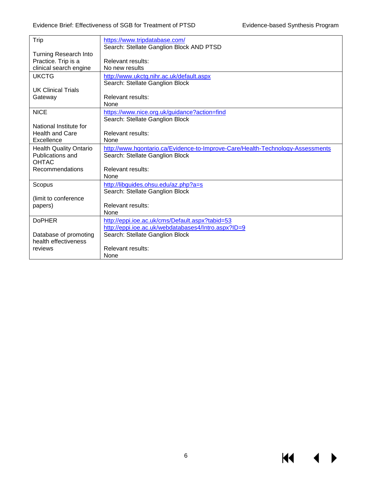$M \rightarrow$ 

| Trip                          | https://www.tripdatabase.com/                                                  |
|-------------------------------|--------------------------------------------------------------------------------|
|                               | Search: Stellate Ganglion Block AND PTSD                                       |
| <b>Turning Research Into</b>  |                                                                                |
| Practice. Trip is a           | Relevant results:                                                              |
| clinical search engine        | No new results                                                                 |
| <b>UKCTG</b>                  | http://www.ukctg.nihr.ac.uk/default.aspx                                       |
|                               | Search: Stellate Ganglion Block                                                |
| <b>UK Clinical Trials</b>     |                                                                                |
| Gateway                       | Relevant results:                                                              |
|                               | <b>None</b>                                                                    |
| <b>NICE</b>                   | https://www.nice.org.uk/guidance?action=find                                   |
|                               | Search: Stellate Ganglion Block                                                |
| National Institute for        |                                                                                |
| <b>Health and Care</b>        | Relevant results:                                                              |
| Excellence                    | <b>None</b>                                                                    |
| <b>Health Quality Ontario</b> | http://www.hqontario.ca/Evidence-to-Improve-Care/Health-Technology-Assessments |
| Publications and              | Search: Stellate Ganglion Block                                                |
| <b>OHTAC</b>                  |                                                                                |
| Recommendations               | Relevant results:                                                              |
|                               | None                                                                           |
| Scopus                        | http://libquides.ohsu.edu/az.php?a=s                                           |
|                               | Search: Stellate Ganglion Block                                                |
| (limit to conference          |                                                                                |
| papers)                       | Relevant results:                                                              |
|                               | None                                                                           |
| <b>DoPHER</b>                 | http://eppi.ioe.ac.uk/cms/Default.aspx?tabid=53                                |
|                               | http://eppi.ioe.ac.uk/webdatabases4/Intro.aspx?ID=9                            |
| Database of promoting         | Search: Stellate Ganglion Block                                                |
| health effectiveness          |                                                                                |
| reviews                       | Relevant results:                                                              |
|                               | None                                                                           |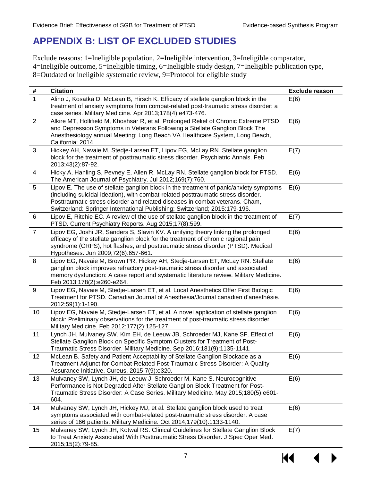# <span id="page-8-0"></span>**APPENDIX B: LIST OF EXCLUDED STUDIES**

Exclude reasons: 1=Ineligible population, 2=Ineligible intervention, 3=Ineligible comparator, 4=Ineligible outcome, 5=Ineligible timing, 6=Ineligible study design, 7=Ineligible publication type, 8=Outdated or ineligible systematic review, 9=Protocol for eligible study

| #              | <b>Citation</b>                                                                                                                                                                                                                                                                                                                           | <b>Exclude reason</b> |
|----------------|-------------------------------------------------------------------------------------------------------------------------------------------------------------------------------------------------------------------------------------------------------------------------------------------------------------------------------------------|-----------------------|
| $\mathbf{1}$   | Alino J, Kosatka D, McLean B, Hirsch K. Efficacy of stellate ganglion block in the<br>treatment of anxiety symptoms from combat-related post-traumatic stress disorder: a<br>case series. Military Medicine. Apr 2013;178(4):e473-476.                                                                                                    | E(6)                  |
| 2              | Alkire MT, Hollifield M, Khoshsar R, et al. Prolonged Relief of Chronic Extreme PTSD<br>and Depression Symptoms in Veterans Following a Stellate Ganglion Block The<br>Anesthesiology annual Meeting: Long Beach VA Healthcare System, Long Beach,<br>California; 2014.                                                                   | E(6)                  |
| $\mathbf{3}$   | Hickey AH, Navaie M, Stedje-Larsen ET, Lipov EG, McLay RN. Stellate ganglion<br>block for the treatment of posttraumatic stress disorder. Psychiatric Annals. Feb<br>2013;43(2):87-92.                                                                                                                                                    | E(7)                  |
| 4              | Hicky A, Hanling S, Pevney E, Allen R, McLay RN. Stellate ganglion block for PTSD.<br>The American Journal of Psychiatry. Jul 2012;169(7):760.                                                                                                                                                                                            | E(6)                  |
| 5              | Lipov E. The use of stellate ganglion block in the treatment of panic/anxiety symptoms<br>(including suicidal ideation), with combat-related posttraumatic stress disorder.<br>Posttraumatic stress disorder and related diseases in combat veterans. Cham,<br>Switzerland: Springer International Publishing; Switzerland; 2015:179-196. | E(6)                  |
| 6              | Lipov E, Ritchie EC. A review of the use of stellate ganglion block in the treatment of<br>PTSD. Current Psychiatry Reports. Aug 2015;17(8):599.                                                                                                                                                                                          | E(7)                  |
| $\overline{7}$ | Lipov EG, Joshi JR, Sanders S, Slavin KV. A unifying theory linking the prolonged<br>efficacy of the stellate ganglion block for the treatment of chronic regional pain<br>syndrome (CRPS), hot flashes, and posttraumatic stress disorder (PTSD). Medical<br>Hypotheses. Jun 2009;72(6):657-661.                                         | E(6)                  |
| 8              | Lipov EG, Navaie M, Brown PR, Hickey AH, Stedje-Larsen ET, McLay RN. Stellate<br>ganglion block improves refractory post-traumatic stress disorder and associated<br>memory dysfunction: A case report and systematic literature review. Military Medicine.<br>Feb 2013;178(2):e260-e264.                                                 | E(6)                  |
| 9              | Lipov EG, Navaie M, Stedje-Larsen ET, et al. Local Anesthetics Offer First Biologic<br>Treatment for PTSD. Canadian Journal of Anesthesia/Journal canadien d'anesthésie.<br>2012;59(1):1-190.                                                                                                                                             | E(6)                  |
| 10             | Lipov EG, Navaie M, Stedje-Larsen ET, et al. A novel application of stellate ganglion<br>block: Preliminary observations for the treatment of post-traumatic stress disorder.<br>Military Medicine. Feb 2012;177(2):125-127.                                                                                                              | E(6)                  |
| 11             | Lynch JH, Mulvaney SW, Kim EH, de Leeuw JB, Schroeder MJ, Kane SF. Effect of<br>Stellate Ganglion Block on Specific Symptom Clusters for Treatment of Post-<br>Traumatic Stress Disorder. Military Medicine. Sep 2016;181(9):1135-1141.                                                                                                   | E(6)                  |
| 12             | McLean B. Safety and Patient Acceptability of Stellate Ganglion Blockade as a<br>Treatment Adjunct for Combat-Related Post-Traumatic Stress Disorder: A Quality<br>Assurance Initiative. Cureus. 2015;7(9):e320.                                                                                                                          | E(6)                  |
| 13             | Mulvaney SW, Lynch JH, de Leeuw J, Schroeder M, Kane S. Neurocognitive<br>Performance is Not Degraded After Stellate Ganglion Block Treatment for Post-<br>Traumatic Stress Disorder: A Case Series. Military Medicine. May 2015;180(5):e601-<br>604.                                                                                     | E(6)                  |
| 14             | Mulvaney SW, Lynch JH, Hickey MJ, et al. Stellate ganglion block used to treat<br>symptoms associated with combat-related post-traumatic stress disorder: A case<br>series of 166 patients. Military Medicine. Oct 2014;179(10):1133-1140.                                                                                                | E(6)                  |
| 15             | Mulvaney SW, Lynch JH, Kotwal RS. Clinical Guidelines for Stellate Ganglion Block<br>to Treat Anxiety Associated With Posttraumatic Stress Disorder. J Spec Oper Med.<br>2015;15(2):79-85.                                                                                                                                                | E(7)                  |

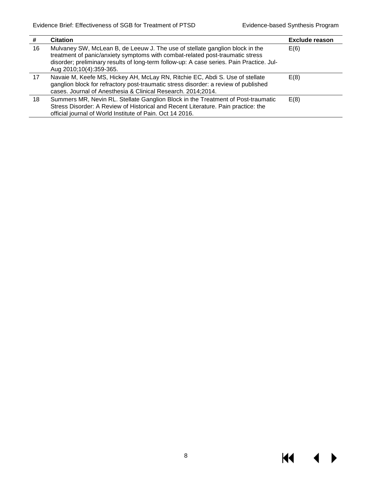| #  | <b>Citation</b>                                                                                                                                                                                                                                                                      | <b>Exclude reason</b> |
|----|--------------------------------------------------------------------------------------------------------------------------------------------------------------------------------------------------------------------------------------------------------------------------------------|-----------------------|
| 16 | Mulvaney SW, McLean B, de Leeuw J. The use of stellate ganglion block in the<br>treatment of panic/anxiety symptoms with combat-related post-traumatic stress<br>disorder; preliminary results of long-term follow-up: A case series. Pain Practice. Jul-<br>Aug 2010;10(4):359-365. | E(6)                  |
| 17 | Navaie M, Keefe MS, Hickey AH, McLay RN, Ritchie EC, Abdi S. Use of stellate<br>ganglion block for refractory post-traumatic stress disorder: a review of published<br>cases. Journal of Anesthesia & Clinical Research. 2014;2014.                                                  | E(8)                  |
| 18 | Summers MR, Nevin RL. Stellate Ganglion Block in the Treatment of Post-traumatic<br>Stress Disorder: A Review of Historical and Recent Literature. Pain practice: the<br>official journal of World Institute of Pain. Oct 14 2016.                                                   | E(8)                  |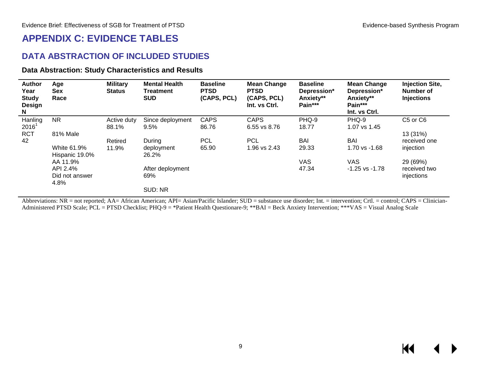### **APPENDIX C: EVIDENCE TABLES**

#### **DATA ABSTRACTION OF INCLUDED STUDIES**

#### **Data Abstraction: Study Characteristics and Results**

| <b>Author</b><br>Year<br><b>Study</b><br><b>Design</b><br>N | Age<br><b>Sex</b><br>Race     | <b>Military</b><br><b>Status</b> | <b>Mental Health</b><br>Treatment<br><b>SUD</b> | <b>Baseline</b><br><b>PTSD</b><br>(CAPS, PCL) | <b>Mean Change</b><br><b>PTSD</b><br>(CAPS, PCL)<br>Int. vs Ctrl. | <b>Baseline</b><br>Depression*<br>Anxiety**<br>Pain*** | <b>Mean Change</b><br>Depression*<br>Anxiety**<br>Pain***<br>Int. vs Ctrl. | <b>Injection Site,</b><br>Number of<br><b>Injections</b> |
|-------------------------------------------------------------|-------------------------------|----------------------------------|-------------------------------------------------|-----------------------------------------------|-------------------------------------------------------------------|--------------------------------------------------------|----------------------------------------------------------------------------|----------------------------------------------------------|
| Hanling                                                     | <b>NR</b>                     | Active duty                      | Since deployment                                | <b>CAPS</b>                                   | <b>CAPS</b>                                                       | PHQ-9                                                  | PHQ-9                                                                      | C5 or C6                                                 |
| 2016 <sup>1</sup>                                           |                               | 88.1%                            | 9.5%                                            | 86.76                                         | 6.55 vs 8.76                                                      | 18.77                                                  | 1.07 vs 1.45                                                               |                                                          |
| <b>RCT</b>                                                  | 81% Male                      |                                  |                                                 |                                               |                                                                   |                                                        |                                                                            | 13 (31%)                                                 |
| 42                                                          |                               | Retired                          | During                                          | <b>PCL</b>                                    | <b>PCL</b>                                                        | <b>BAI</b>                                             | <b>BAI</b>                                                                 | received one                                             |
|                                                             | White 61.9%<br>Hispanic 19.0% | 11.9%                            | deployment<br>26.2%                             | 65.90                                         | 1.96 vs 2.43                                                      | 29.33                                                  | 1.70 vs -1.68                                                              | injection                                                |
|                                                             | AA 11.9%                      |                                  |                                                 |                                               |                                                                   | VAS                                                    | VAS.                                                                       | 29 (69%)                                                 |
|                                                             | API 2.4%                      |                                  | After deployment                                |                                               |                                                                   | 47.34                                                  | $-1.25$ vs $-1.78$                                                         | received two                                             |
|                                                             | Did not answer<br>4.8%        |                                  | 69%                                             |                                               |                                                                   |                                                        |                                                                            | injections                                               |
|                                                             |                               |                                  | SUD: NR                                         |                                               |                                                                   |                                                        |                                                                            |                                                          |

<span id="page-10-1"></span><span id="page-10-0"></span>Abbreviations: NR = not reported; AA= African American; API= Asian/Pacific Islander; SUD = substance use disorder; Int. = intervention; Crtl. = control; CAPS = Clinician-Administered PTSD Scale; PCL = PTSD Checklist; PHQ-9 = \*Patient Health Questionare-9; \*\*BAI = Beck Anxiety Intervention; \*\*\*VAS = Visual Analog Scale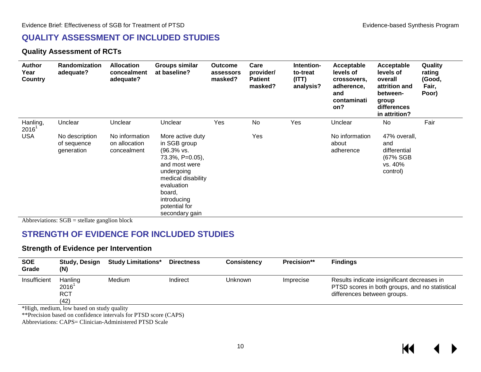#### **QUALITY ASSESSMENT OF INCLUDED STUDIES**

#### **Quality Assessment of RCTs**

| <b>Author</b><br>Year<br><b>Country</b> | <b>Randomization</b><br>adequate?           | <b>Allocation</b><br>concealment<br>adequate?  | <b>Groups similar</b><br>at baseline?                                                                                                                                                                       | <b>Outcome</b><br>assessors<br>masked? | Care<br>provider/<br><b>Patient</b><br>masked? | Intention-<br>to-treat<br>(ITT)<br>analysis? | Acceptable<br>levels of<br>crossovers,<br>adherence,<br>and<br>contaminati<br>on? | Acceptable<br>levels of<br>overall<br>attrition and<br>between-<br>group<br>differences<br>in attrition? | Quality<br>rating<br>(Good,<br>Fair,<br>Poor) |
|-----------------------------------------|---------------------------------------------|------------------------------------------------|-------------------------------------------------------------------------------------------------------------------------------------------------------------------------------------------------------------|----------------------------------------|------------------------------------------------|----------------------------------------------|-----------------------------------------------------------------------------------|----------------------------------------------------------------------------------------------------------|-----------------------------------------------|
| Hanling,<br>$2016^1$                    | Unclear                                     | Unclear                                        | Unclear                                                                                                                                                                                                     | Yes                                    | No                                             | Yes                                          | Unclear                                                                           | No                                                                                                       | Fair                                          |
| <b>USA</b>                              | No description<br>of sequence<br>generation | No information<br>on allocation<br>concealment | More active duty<br>in SGB group<br>$(96.3% \text{ vs. }$<br>73.3%, P=0.05),<br>and most were<br>undergoing<br>medical disability<br>evaluation<br>board,<br>introducing<br>potential for<br>secondary gain |                                        | Yes                                            |                                              | No information<br>about<br>adherence                                              | 47% overall,<br>and<br>differential<br>(67% SGB<br>vs. 40%<br>control)                                   |                                               |

<span id="page-11-1"></span><span id="page-11-0"></span>Abbreviations: SGB = stellate ganglion block

### **STRENGTH OF EVIDENCE FOR INCLUDED STUDIES**

#### **Strength of Evidence per Intervention**

| <b>SOE</b><br>Grade | <b>Study, Design</b><br>(N)               | <b>Study Limitations*</b> | <b>Directness</b> | <b>Consistency</b> | <b>Precision**</b> | <b>Findings</b>                                                                                                              |
|---------------------|-------------------------------------------|---------------------------|-------------------|--------------------|--------------------|------------------------------------------------------------------------------------------------------------------------------|
| Insufficient        | Hanling<br>$2016^1$<br><b>RCT</b><br>(42) | Medium                    | Indirect          | <b>Unknown</b>     | Imprecise          | Results indicate insignificant decreases in<br>PTSD scores in both groups, and no statistical<br>differences between groups. |

\*High, medium, low based on study quality

\*\*Precision based on confidence intervals for PTSD score (CAPS)

<span id="page-11-2"></span>Abbreviations: CAPS= Clinician-Administered PTSD Scale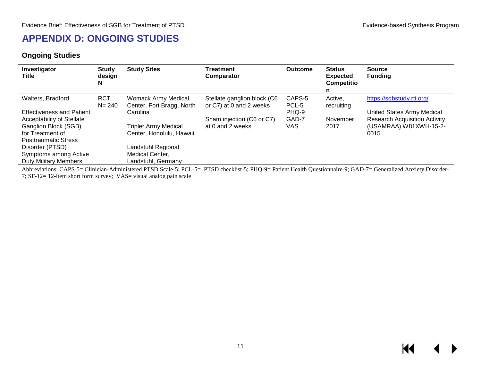# **APPENDIX D: ONGOING STUDIES**

#### **Ongoing Studies**

| Investigator<br>Title            | <b>Study</b><br>design<br>N | <b>Study Sites</b>          | Treatment<br>Comparator     | <b>Outcome</b> | <b>Status</b><br><b>Expected</b><br><b>Competitio</b> | <b>Source</b><br><b>Funding</b>      |
|----------------------------------|-----------------------------|-----------------------------|-----------------------------|----------------|-------------------------------------------------------|--------------------------------------|
| Walters, Bradford                | <b>RCT</b>                  | Womack Army Medical         | Stellate ganglion block (C6 | CAPS-5         | Active,                                               | https://sgbstudy.rti.org/            |
|                                  | $N = 240$                   | Center, Fort Bragg, North   | or C7) at 0 and 2 weeks     | PCL-5          | recruiting                                            |                                      |
| <b>Effectiveness and Patient</b> |                             | Carolina                    |                             | PHQ-9          |                                                       | United States Army Medical           |
| Acceptability of Stellate        |                             |                             | Sham injection (C6 or C7)   | GAD-7          | November.                                             | <b>Research Acquisition Activity</b> |
| Ganglion Block (SGB)             |                             | <b>Tripler Army Medical</b> | at 0 and 2 weeks            | VAS            | 2017                                                  | (USAMRAA) W81XWH-15-2-               |
| for Treatment of                 |                             | Center, Honolulu, Hawaii    |                             |                |                                                       | 0015                                 |
| <b>Posttraumatic Stress</b>      |                             |                             |                             |                |                                                       |                                      |
| Disorder (PTSD)                  |                             | Landstuhl Regional          |                             |                |                                                       |                                      |
| Symptoms among Active            |                             | Medical Center,             |                             |                |                                                       |                                      |
| <b>Duty Military Members</b>     |                             | Landstuhl, Germany          |                             |                |                                                       |                                      |

<span id="page-12-0"></span>Abbreviations: CAPS-5= Clinician-Administered PTSD Scale-5; PCL-5= PTSD checklist-5; PHQ-9= Patient Health Questionnaire-9; GAD-7= Generalized Anxiety Disorder-7; SF-12= 12-item short form survey; VAS= visual analog pain scale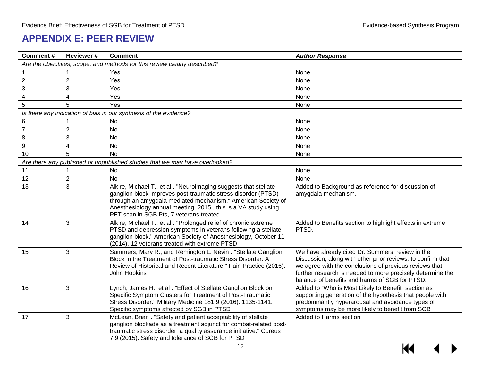# **APPENDIX E: PEER REVIEW**

<span id="page-13-0"></span>

| <b>Comment#</b>  | <b>Reviewer#</b> | <b>Comment</b>                                                                                                                                                                                                                                                                                                 | <b>Author Response</b>                                                                                                                                                                                                                                                                    |
|------------------|------------------|----------------------------------------------------------------------------------------------------------------------------------------------------------------------------------------------------------------------------------------------------------------------------------------------------------------|-------------------------------------------------------------------------------------------------------------------------------------------------------------------------------------------------------------------------------------------------------------------------------------------|
|                  |                  | Are the objectives, scope, and methods for this review clearly described?                                                                                                                                                                                                                                      |                                                                                                                                                                                                                                                                                           |
|                  |                  | Yes                                                                                                                                                                                                                                                                                                            | None                                                                                                                                                                                                                                                                                      |
| $\sqrt{2}$       | $\overline{2}$   | Yes                                                                                                                                                                                                                                                                                                            | None                                                                                                                                                                                                                                                                                      |
| $\mathbf{3}$     | 3                | Yes                                                                                                                                                                                                                                                                                                            | None                                                                                                                                                                                                                                                                                      |
| $\overline{4}$   | 4                | Yes                                                                                                                                                                                                                                                                                                            | None                                                                                                                                                                                                                                                                                      |
| 5                | 5                | Yes                                                                                                                                                                                                                                                                                                            | None                                                                                                                                                                                                                                                                                      |
|                  |                  | Is there any indication of bias in our synthesis of the evidence?                                                                                                                                                                                                                                              |                                                                                                                                                                                                                                                                                           |
| $\,6$            |                  | No                                                                                                                                                                                                                                                                                                             | None                                                                                                                                                                                                                                                                                      |
| $\overline{7}$   | $\overline{2}$   | No                                                                                                                                                                                                                                                                                                             | None                                                                                                                                                                                                                                                                                      |
| $\,8\,$          | 3                | No                                                                                                                                                                                                                                                                                                             | None                                                                                                                                                                                                                                                                                      |
| $\boldsymbol{9}$ | 4                | No                                                                                                                                                                                                                                                                                                             | None                                                                                                                                                                                                                                                                                      |
| 10               | 5                | <b>No</b>                                                                                                                                                                                                                                                                                                      | None                                                                                                                                                                                                                                                                                      |
|                  |                  | Are there any published or unpublished studies that we may have overlooked?                                                                                                                                                                                                                                    |                                                                                                                                                                                                                                                                                           |
| 11               | 1                | No                                                                                                                                                                                                                                                                                                             | None                                                                                                                                                                                                                                                                                      |
| 12               | $\mathbf{2}$     | <b>No</b>                                                                                                                                                                                                                                                                                                      | None                                                                                                                                                                                                                                                                                      |
| 13               | 3                | Alkire, Michael T., et al . "Neuroimaging suggests that stellate<br>ganglion block improves post-traumatic stress disorder (PTSD)<br>through an amygdala mediated mechanism." American Society of<br>Anesthesiology annual meeting. 2015., this is a VA study using<br>PET scan in SGB Pts, 7 veterans treated | Added to Background as reference for discussion of<br>amygdala mechanism.                                                                                                                                                                                                                 |
| 14               | $\mathbf{3}$     | Alkire, Michael T., et al . "Prolonged relief of chronic extreme<br>PTSD and depression symptoms in veterans following a stellate<br>ganglion block." American Society of Anesthesiology, October 11<br>(2014). 12 veterans treated with extreme PTSD                                                          | Added to Benefits section to highlight effects in extreme<br>PTSD.                                                                                                                                                                                                                        |
| 15               | 3                | Summers, Mary R., and Remington L. Nevin. "Stellate Ganglion<br>Block in the Treatment of Post-traumatic Stress Disorder: A<br>Review of Historical and Recent Literature." Pain Practice (2016).<br>John Hopkins                                                                                              | We have already cited Dr. Summers' review in the<br>Discussion, along with other prior reviews, to confirm that<br>we agree with the conclusions of previous reviews that<br>further research is needed to more precisely determine the<br>balance of benefits and harms of SGB for PTSD. |
| 16               | 3                | Lynch, James H., et al . "Effect of Stellate Ganglion Block on<br>Specific Symptom Clusters for Treatment of Post-Traumatic<br>Stress Disorder." Military Medicine 181.9 (2016): 1135-1141.<br>Specific symptoms affected by SGB in PTSD                                                                       | Added to "Who is Most Likely to Benefit" section as<br>supporting generation of the hypothesis that people with<br>predominantly hyperarousal and avoidance types of<br>symptoms may be more likely to benefit from SGB                                                                   |
| 17               | 3                | McLean, Brian . "Safety and patient acceptability of stellate<br>ganglion blockade as a treatment adjunct for combat-related post-<br>traumatic stress disorder: a quality assurance initiative." Cureus<br>7.9 (2015). Safety and tolerance of SGB for PTSD                                                   | Added to Harms section                                                                                                                                                                                                                                                                    |

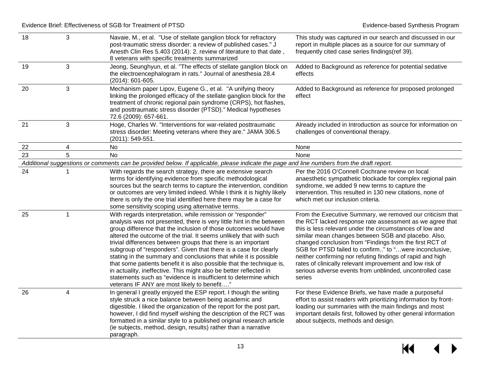| 18 | 3 | Navaie, M., et al. "Use of stellate ganglion block for refractory<br>post-traumatic stress disorder: a review of published cases." J<br>Anesth Clin Res 5.403 (2014): 2. review of literature to that date,<br>8 veterans with specific treatments summarized                                                                                                                                                                                                                                                                                                                                                                                                                                                                                          | This study was captured in our search and discussed in our<br>report in multiple places as a source for our summary of<br>frequently cited case series findings(ref 39).                                                                                                                                                                                                                                                                                                                                                                                      |
|----|---|--------------------------------------------------------------------------------------------------------------------------------------------------------------------------------------------------------------------------------------------------------------------------------------------------------------------------------------------------------------------------------------------------------------------------------------------------------------------------------------------------------------------------------------------------------------------------------------------------------------------------------------------------------------------------------------------------------------------------------------------------------|---------------------------------------------------------------------------------------------------------------------------------------------------------------------------------------------------------------------------------------------------------------------------------------------------------------------------------------------------------------------------------------------------------------------------------------------------------------------------------------------------------------------------------------------------------------|
| 19 | 3 | Jeong, Seunghyun, et al. "The effects of stellate ganglion block on<br>the electroencephalogram in rats." Journal of anesthesia 28.4<br>$(2014): 601-605.$                                                                                                                                                                                                                                                                                                                                                                                                                                                                                                                                                                                             | Added to Background as reference for potential sedative<br>effects                                                                                                                                                                                                                                                                                                                                                                                                                                                                                            |
| 20 | 3 | Mechanism paper Lipov, Eugene G., et al. "A unifying theory<br>linking the prolonged efficacy of the stellate ganglion block for the<br>treatment of chronic regional pain syndrome (CRPS), hot flashes,<br>and posttraumatic stress disorder (PTSD)." Medical hypotheses<br>72.6 (2009): 657-661.                                                                                                                                                                                                                                                                                                                                                                                                                                                     | Added to Background as reference for proposed prolonged<br>effect                                                                                                                                                                                                                                                                                                                                                                                                                                                                                             |
| 21 | 3 | Hoge, Charles W. "Interventions for war-related posttraumatic<br>stress disorder: Meeting veterans where they are." JAMA 306.5<br>(2011): 549-551.                                                                                                                                                                                                                                                                                                                                                                                                                                                                                                                                                                                                     | Already included in Introduction as source for information on<br>challenges of conventional therapy.                                                                                                                                                                                                                                                                                                                                                                                                                                                          |
| 22 | 4 | No                                                                                                                                                                                                                                                                                                                                                                                                                                                                                                                                                                                                                                                                                                                                                     | None                                                                                                                                                                                                                                                                                                                                                                                                                                                                                                                                                          |
| 23 | 5 | <b>No</b>                                                                                                                                                                                                                                                                                                                                                                                                                                                                                                                                                                                                                                                                                                                                              | None                                                                                                                                                                                                                                                                                                                                                                                                                                                                                                                                                          |
|    |   | Additional suggestions or comments can be provided below. If applicable, please indicate the page and line numbers from the draft report.                                                                                                                                                                                                                                                                                                                                                                                                                                                                                                                                                                                                              |                                                                                                                                                                                                                                                                                                                                                                                                                                                                                                                                                               |
| 24 | 1 | With regards the search strategy, there are extensive search<br>terms for identifying evidence from specific methodological<br>sources but the search terms to capture the intervention, condition<br>or outcomes are very limited indeed. While I think it is highly likely<br>there is only the one trial identified here there may be a case for<br>some sensitivity scoping using alternative terms.                                                                                                                                                                                                                                                                                                                                               | Per the 2016 O'Connell Cochrane review on local<br>anaesthetic sympathetic blockade for complex regional pain<br>syndrome, we added 9 new terms to capture the<br>intervention. This resulted in 130 new citations, none of<br>which met our inclusion criteria.                                                                                                                                                                                                                                                                                              |
| 25 | 1 | With regards interpretation, while remission or "responder"<br>analysis was not presented, there is very little hint in the between<br>group difference that the inclusion of those outcomes would have<br>altered the outcome of the trial. It seems unlikely that with such<br>trivial differences between groups that there is an important<br>subgroup of "responders". Given that there is a case for clearly<br>stating in the summary and conclusions that while it is possible<br>that some patients benefit it is also possible that the technique is,<br>in actuality, ineffective. This might also be better reflected in<br>statements such as "evidence is insufficient to determine which<br>veterans IF ANY are most likely to benefit" | From the Executive Summary, we removed our criticism that<br>the RCT lacked response rate assessment as we agree that<br>this is less relevant under the circumstances of low and<br>similar mean changes between SGB and placebo. Also,<br>changed conclusion from "Findings from the first RCT of<br>SGB for PTSD failed to confirm" to "were inconclusive,<br>neither confirming nor refuting findings of rapid and high<br>rates of clinically relevant improvement and low risk of<br>serious adverse events from unblinded, uncontrolled case<br>series |
| 26 | 4 | In general I greatly enjoyed the ESP report. I though the writing<br>style struck a nice balance between being academic and<br>digestible. I liked the organization of the report for the post part,<br>however, I did find myself wishing the description of the RCT was<br>formatted in a similar style to a published original research article<br>(ie subjects, method, design, results) rather than a narrative<br>paragraph.                                                                                                                                                                                                                                                                                                                     | For these Evidence Briefs, we have made a purposeful<br>effort to assist readers with prioritizing information by front-<br>loading our summaries with the main findings and most<br>important details first, followed by other general information<br>about subjects, methods and design.                                                                                                                                                                                                                                                                    |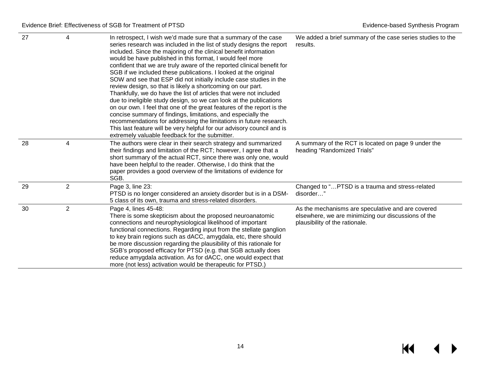| 27 | 4              | In retrospect, I wish we'd made sure that a summary of the case<br>series research was included in the list of study designs the report<br>included. Since the majoring of the clinical benefit information<br>would be have published in this format, I would feel more<br>confident that we are truly aware of the reported clinical benefit for<br>SGB if we included these publications. I looked at the original<br>SOW and see that ESP did not initially include case studies in the<br>review design, so that is likely a shortcoming on our part.<br>Thankfully, we do have the list of articles that were not included<br>due to ineligible study design, so we can look at the publications<br>on our own. I feel that one of the great features of the report is the<br>concise summary of findings, limitations, and especially the<br>recommendations for addressing the limitations in future research.<br>This last feature will be very helpful for our advisory council and is<br>extremely valuable feedback for the submitter. | We added a brief summary of the case series studies to the<br>results.                                                                     |
|----|----------------|----------------------------------------------------------------------------------------------------------------------------------------------------------------------------------------------------------------------------------------------------------------------------------------------------------------------------------------------------------------------------------------------------------------------------------------------------------------------------------------------------------------------------------------------------------------------------------------------------------------------------------------------------------------------------------------------------------------------------------------------------------------------------------------------------------------------------------------------------------------------------------------------------------------------------------------------------------------------------------------------------------------------------------------------------|--------------------------------------------------------------------------------------------------------------------------------------------|
| 28 | 4              | The authors were clear in their search strategy and summarized<br>their findings and limitation of the RCT; however, I agree that a<br>short summary of the actual RCT, since there was only one, would<br>have been helpful to the reader. Otherwise, I do think that the<br>paper provides a good overview of the limitations of evidence for<br>SGB.                                                                                                                                                                                                                                                                                                                                                                                                                                                                                                                                                                                                                                                                                            | A summary of the RCT is located on page 9 under the<br>heading "Randomized Trials"                                                         |
| 29 | $\overline{2}$ | Page 3, line 23:<br>PTSD is no longer considered an anxiety disorder but is in a DSM-<br>5 class of its own, trauma and stress-related disorders.                                                                                                                                                                                                                                                                                                                                                                                                                                                                                                                                                                                                                                                                                                                                                                                                                                                                                                  | Changed to " PTSD is a trauma and stress-related<br>disorder"                                                                              |
| 30 | $\overline{2}$ | Page 4, lines 45-48:<br>There is some skepticism about the proposed neuroanatomic<br>connections and neurophysiological likelihood of important<br>functional connections. Regarding input from the stellate ganglion<br>to key brain regions such as dACC, amygdala, etc, there should<br>be more discussion regarding the plausibility of this rationale for<br>SGB's proposed efficacy for PTSD (e.g. that SGB actually does<br>reduce amygdala activation. As for dACC, one would expect that<br>more (not less) activation would be therapeutic for PTSD.)                                                                                                                                                                                                                                                                                                                                                                                                                                                                                    | As the mechanisms are speculative and are covered<br>elsewhere, we are minimizing our discussions of the<br>plausibility of the rationale. |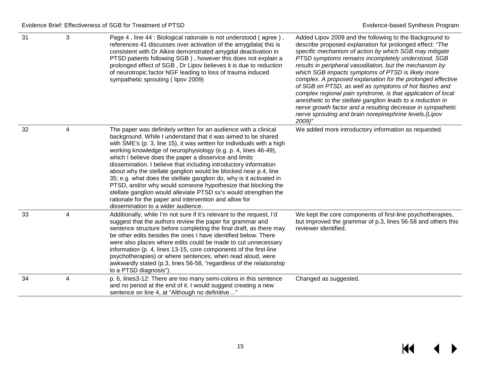| 31 | 3 | Page 4, line 44 : Biological rationale is not understood (agree),<br>references 41 discusses over activation of the amygdala(this is<br>consistent with Dr Alkire demonstrated amygdal deactivation in<br>PTSD patients following SGB), however this does not explain a<br>prolonged effect of SGB, Dr Lipov believes it is due to reduction<br>of neurotropic factor NGF leading to loss of trauma induced<br>sympathetic sprouting (lipov 2009)                                                                                                                                                                                                                                                                                                                                         | Added Lipov 2009 and the following to the Background to<br>describe proposed explanation for prolonged effect: "The<br>specific mechanism of action by which SGB may mitigate<br>PTSD symptoms remains incompletely understood. SGB<br>results in peripheral vasodilation, but the mechanism by<br>which SGB impacts symptoms of PTSD is likely more<br>complex. A proposed explanation for the prolonged effective<br>of SGB on PTSD, as well as symptoms of hot flashes and<br>complex regional pain syndrome, is that application of local<br>anesthetic to the stellate ganglion leads to a reduction in<br>nerve growth factor and a resulting decrease in sympathetic<br>nerve sprouting and brain norepinephrine levels. {Lipov<br>2009}" |
|----|---|-------------------------------------------------------------------------------------------------------------------------------------------------------------------------------------------------------------------------------------------------------------------------------------------------------------------------------------------------------------------------------------------------------------------------------------------------------------------------------------------------------------------------------------------------------------------------------------------------------------------------------------------------------------------------------------------------------------------------------------------------------------------------------------------|--------------------------------------------------------------------------------------------------------------------------------------------------------------------------------------------------------------------------------------------------------------------------------------------------------------------------------------------------------------------------------------------------------------------------------------------------------------------------------------------------------------------------------------------------------------------------------------------------------------------------------------------------------------------------------------------------------------------------------------------------|
| 32 | 4 | The paper was definitely written for an audience with a clinical<br>background. While I understand that it was aimed to be shared<br>with SME's (p. 3, line 15), it was written for individuals with a high<br>working knowledge of neurophysiology (e.g. p. 4, lines 46-49),<br>which I believe does the paper a disservice and limits<br>dissemination. I believe that including introductory information<br>about why the stellate ganglion would be blocked near p.4, line<br>35; e.g. what does the stellate ganglion do, why is it activated in<br>PTSD, and/or why would someone hypothesize that blocking the<br>stellate ganglion would alleviate PTSD sx's would strengthen the<br>rationale for the paper and intervention and allow for<br>dissemination to a wider audience. | We added more introductory information as requested.                                                                                                                                                                                                                                                                                                                                                                                                                                                                                                                                                                                                                                                                                             |
| 33 | 4 | Additionally, while I'm not sure if it's relevant to the request, I'd<br>suggest that the authors review the paper for grammar and<br>sentence structure before completing the final draft, as there may<br>be other edits besides the ones I have identified below. There<br>were also places where edits could be made to cut unnecessary<br>information (p. 4, lines 13-15, core components of the first-line<br>psychotherapies) or where sentences, when read aloud, were<br>awkwardly stated (p.3, lines 56-58, "regardless of the relationship<br>to a PTSD diagnosis")                                                                                                                                                                                                            | We kept the core components of first-line psychotherapies,<br>but improved the grammar of p.3, lines 56-58 and others this<br>reviewer identified.                                                                                                                                                                                                                                                                                                                                                                                                                                                                                                                                                                                               |
| 34 | 4 | p. 6, lines3-12: There are too many semi-colons in this sentence<br>and no period at the end of it. I would suggest creating a new<br>sentence on line 4, at "Although no definitive"                                                                                                                                                                                                                                                                                                                                                                                                                                                                                                                                                                                                     | Changed as suggested.                                                                                                                                                                                                                                                                                                                                                                                                                                                                                                                                                                                                                                                                                                                            |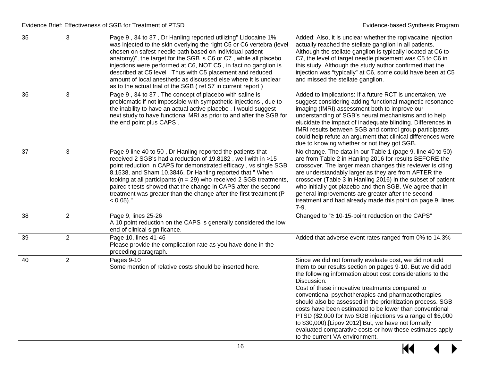| 35 | 3              | Page 9, 34 to 37, Dr Hanling reported utilizing" Lidocaine 1%<br>was injected to the skin overlying the right C5 or C6 vertebra (level<br>chosen on safest needle path based on individual patient<br>anatomy)", the target for the SGB is C6 or C7, while all placebo<br>injections were performed at C6, NOT C5, in fact no ganglion is<br>described at C5 level . Thus with C5 placement and reduced<br>amount of local anesthetic as discussed else where it is unclear<br>as to the actual trial of the SGB (ref 57 in current report) | Added: Also, it is unclear whether the ropivacaine injection<br>actually reached the stellate ganglion in all patients.<br>Although the stellate ganglion is typically located at C6 to<br>C7, the level of target needle placement was C5 to C6 in<br>this study. Although the study author confirmed that the<br>injection was "typically" at C6, some could have been at C5<br>and missed the stellate ganglion.                                                                                                                                                                                                                                    |
|----|----------------|---------------------------------------------------------------------------------------------------------------------------------------------------------------------------------------------------------------------------------------------------------------------------------------------------------------------------------------------------------------------------------------------------------------------------------------------------------------------------------------------------------------------------------------------|--------------------------------------------------------------------------------------------------------------------------------------------------------------------------------------------------------------------------------------------------------------------------------------------------------------------------------------------------------------------------------------------------------------------------------------------------------------------------------------------------------------------------------------------------------------------------------------------------------------------------------------------------------|
| 36 | 3              | Page 9, 34 to 37. The concept of placebo with saline is<br>problematic if not impossible with sympathetic injections, due to<br>the inability to have an actual active placebo. I would suggest<br>next study to have functional MRI as prior to and after the SGB for<br>the end point plus CAPS.                                                                                                                                                                                                                                          | Added to Implications: If a future RCT is undertaken, we<br>suggest considering adding functional magnetic resonance<br>imaging (fMRI) assessment both to improve our<br>understanding of SGB's neural mechanisms and to help<br>elucidate the impact of inadequate blinding. Differences in<br>fMRI results between SGB and control group participants<br>could help refute an argument that clinical differences were<br>due to knowing whether or not they got SGB.                                                                                                                                                                                 |
| 37 | 3              | Page 9 line 40 to 50, Dr Hanling reported the patients that<br>received 2 SGB's had a reduction of 19.8182, well with in >15<br>point reduction in CAPS for demonstrated efficacy, vs single SGB<br>8.1538, and Sham 10.3846, Dr Hanling reported that "When<br>looking at all participants ( $n = 29$ ) who received 2 SGB treatments,<br>paired t tests showed that the change in CAPS after the second<br>treatment was greater than the change after the first treatment (P<br>$< 0.05$ )."                                             | No change. The data in our Table 1 (page 9, line 40 to 50)<br>are from Table 2 in Hanling 2016 for results BEFORE the<br>crossover. The larger mean changes this reviewer is citing<br>are understandably larger as they are from AFTER the<br>crossover (Table 3 in Hanling 2016) in the subset of patient<br>who initially got placebo and then SGB. We agree that in<br>general improvements are greater after the second<br>treatment and had already made this point on page 9, lines<br>$7-9.$                                                                                                                                                   |
| 38 | $\overline{2}$ | Page 9, lines 25-26<br>A 10 point reduction on the CAPS is generally considered the low<br>end of clinical significance.                                                                                                                                                                                                                                                                                                                                                                                                                    | Changed to "≥ 10-15-point reduction on the CAPS"                                                                                                                                                                                                                                                                                                                                                                                                                                                                                                                                                                                                       |
| 39 | $\overline{2}$ | Page 10, lines 41-46<br>Please provide the complication rate as you have done in the<br>preceding paragraph.                                                                                                                                                                                                                                                                                                                                                                                                                                | Added that adverse event rates ranged from 0% to 14.3%                                                                                                                                                                                                                                                                                                                                                                                                                                                                                                                                                                                                 |
| 40 | $\overline{2}$ | Pages 9-10<br>Some mention of relative costs should be inserted here.                                                                                                                                                                                                                                                                                                                                                                                                                                                                       | Since we did not formally evaluate cost, we did not add<br>them to our results section on pages 9-10. But we did add<br>the following information about cost considerations to the<br>Discussion:<br>Cost of these innovative treatments compared to<br>conventional psychotherapies and pharmacotherapies<br>should also be assessed in the prioritization process. SGB<br>costs have been estimated to be lower than conventional<br>PTSD (\$2,000 for two SGB injections vs a range of \$6,000<br>to \$30,000).[Lipov 2012] But, we have not formally<br>evaluated comparative costs or how these estimates apply<br>to the current VA environment. |

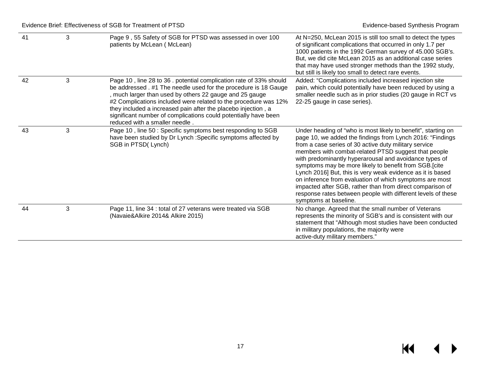| 41 | 3 | Page 9, 55 Safety of SGB for PTSD was assessed in over 100<br>patients by McLean (McLean)                                                                                                                                                                                                                                                                                                                                                | At N=250, McLean 2015 is still too small to detect the types<br>of significant complications that occurred in only 1.7 per<br>1000 patients in the 1992 German survey of 45.000 SGB's.<br>But, we did cite McLean 2015 as an additional case series<br>that may have used stronger methods than the 1992 study,<br>but still is likely too small to detect rare events.                                                                                                                                                                                                                                                                       |
|----|---|------------------------------------------------------------------------------------------------------------------------------------------------------------------------------------------------------------------------------------------------------------------------------------------------------------------------------------------------------------------------------------------------------------------------------------------|-----------------------------------------------------------------------------------------------------------------------------------------------------------------------------------------------------------------------------------------------------------------------------------------------------------------------------------------------------------------------------------------------------------------------------------------------------------------------------------------------------------------------------------------------------------------------------------------------------------------------------------------------|
| 42 | 3 | Page 10, line 28 to 36. potential complication rate of 33% should<br>be addressed . #1 The needle used for the procedure is 18 Gauge<br>, much larger than used by others 22 gauge and 25 gauge<br>#2 Complications included were related to the procedure was 12%<br>they included a increased pain after the placebo injection, a<br>significant number of complications could potentially have been<br>reduced with a smaller needle. | Added: "Complications included increased injection site<br>pain, which could potentially have been reduced by using a<br>smaller needle such as in prior studies (20 gauge in RCT vs<br>22-25 gauge in case series).                                                                                                                                                                                                                                                                                                                                                                                                                          |
| 43 | 3 | Page 10, line 50: Specific symptoms best responding to SGB<br>have been studied by Dr Lynch : Specific symptoms affected by<br>SGB in PTSD(Lynch)                                                                                                                                                                                                                                                                                        | Under heading of "who is most likely to benefit", starting on<br>page 10, we added the findings from Lynch 2016: "Findings<br>from a case series of 30 active duty military service<br>members with combat-related PTSD suggest that people<br>with predominantly hyperarousal and avoidance types of<br>symptoms may be more likely to benefit from SGB.[cite<br>Lynch 2016] But, this is very weak evidence as it is based<br>on inference from evaluation of which symptoms are most<br>impacted after SGB, rather than from direct comparison of<br>response rates between people with different levels of these<br>symptoms at baseline. |
| 44 | 3 | Page 11, line 34 : total of 27 veterans were treated via SGB<br>(Navaie&Alkire 2014& Alkire 2015)                                                                                                                                                                                                                                                                                                                                        | No change. Agreed that the small number of Veterans<br>represents the minority of SGB's and is consistent with our<br>statement that "Although most studies have been conducted<br>in military populations, the majority were<br>active-duty military members."                                                                                                                                                                                                                                                                                                                                                                               |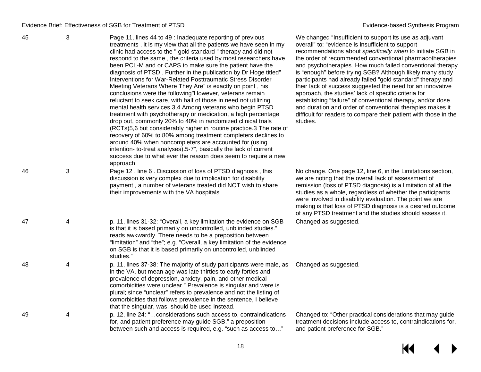| 45 | 3            | Page 11, lines 44 to 49 : Inadequate reporting of previous<br>treatments, it is my view that all the patients we have seen in my<br>clinic had access to the " gold standard " therapy and did not<br>respond to the same, the criteria used by most researchers have<br>been PCL-M and or CAPS to make sure the patient have the<br>diagnosis of PTSD. Further in the publication by Dr Hoge titled"<br>Interventions for War-Related Posttraumatic Stress Disorder<br>Meeting Veterans Where They Are" is exactly on point, his<br>conclusions were the following"However, veterans remain<br>reluctant to seek care, with half of those in need not utilizing<br>mental health services.3,4 Among veterans who begin PTSD<br>treatment with psychotherapy or medication, a high percentage<br>drop out, commonly 20% to 40% in randomized clinical trials<br>(RCTs)5,6 but considerably higher in routine practice.3 The rate of<br>recovery of 60% to 80% among treatment completers declines to<br>around 40% when noncompleters are accounted for (using<br>intention- to-treat analyses).5-7", basically the lack of current<br>success due to what ever the reason does seem to require a new<br>approach | We changed "Insufficient to support its use as adjuvant<br>overall" to: "evidence is insufficient to support<br>recommendations about specifically when to initiate SGB in<br>the order of recommended conventional pharmacotherapies<br>and psychotherapies. How much failed conventional therapy<br>is "enough" before trying SGB? Although likely many study<br>participants had already failed "gold standard" therapy and<br>their lack of success suggested the need for an innovative<br>approach, the studies' lack of specific criteria for<br>establishing "failure" of conventional therapy, and/or dose<br>and duration and order of conventional therapies makes it<br>difficult for readers to compare their patient with those in the<br>studies. |
|----|--------------|-------------------------------------------------------------------------------------------------------------------------------------------------------------------------------------------------------------------------------------------------------------------------------------------------------------------------------------------------------------------------------------------------------------------------------------------------------------------------------------------------------------------------------------------------------------------------------------------------------------------------------------------------------------------------------------------------------------------------------------------------------------------------------------------------------------------------------------------------------------------------------------------------------------------------------------------------------------------------------------------------------------------------------------------------------------------------------------------------------------------------------------------------------------------------------------------------------------------|------------------------------------------------------------------------------------------------------------------------------------------------------------------------------------------------------------------------------------------------------------------------------------------------------------------------------------------------------------------------------------------------------------------------------------------------------------------------------------------------------------------------------------------------------------------------------------------------------------------------------------------------------------------------------------------------------------------------------------------------------------------|
| 46 | $\mathbf{3}$ | Page 12, line 6. Discussion of loss of PTSD diagnosis, this<br>discussion is very complex due to implication for disability<br>payment, a number of veterans treated did NOT wish to share<br>their improvements with the VA hospitals                                                                                                                                                                                                                                                                                                                                                                                                                                                                                                                                                                                                                                                                                                                                                                                                                                                                                                                                                                            | No change. One page 12, line 6, in the Limitations section,<br>we are noting that the overall lack of assessment of<br>remission (loss of PTSD diagnosis) is a limitation of all the<br>studies as a whole, regardless of whether the participants<br>were involved in disability evaluation. The point we are<br>making is that loss of PTSD diagnosis is a desired outcome<br>of any PTSD treatment and the studies should assess it.                                                                                                                                                                                                                                                                                                                          |
| 47 | 4            | p. 11, lines 31-32: "Overall, a key limitation the evidence on SGB<br>is that it is based primarily on uncontrolled, unblinded studies."<br>reads awkwardly. There needs to be a preposition between<br>"limitation" and "the"; e.g. "Overall, a key limitation of the evidence<br>on SGB is that it is based primarily on uncontrolled, unblinded<br>studies."                                                                                                                                                                                                                                                                                                                                                                                                                                                                                                                                                                                                                                                                                                                                                                                                                                                   | Changed as suggested.                                                                                                                                                                                                                                                                                                                                                                                                                                                                                                                                                                                                                                                                                                                                            |
| 48 | 4            | p. 11, lines 37-38: The majority of study participants were male, as<br>in the VA, but mean age was late thirties to early forties and<br>prevalence of depression, anxiety, pain, and other medical<br>comorbidities were unclear." Prevalence is singular and were is<br>plural; since "unclear" refers to prevalence and not the listing of<br>comorbidities that follows prevalence in the sentence, I believe<br>that the singular, was, should be used instead.                                                                                                                                                                                                                                                                                                                                                                                                                                                                                                                                                                                                                                                                                                                                             | Changed as suggested.                                                                                                                                                                                                                                                                                                                                                                                                                                                                                                                                                                                                                                                                                                                                            |
| 49 | 4            | p. 12, line 24: "considerations such access to, contraindications<br>for, and patient preference may guide SGB," a preposition<br>between such and access is required, e.g. "such as access to"                                                                                                                                                                                                                                                                                                                                                                                                                                                                                                                                                                                                                                                                                                                                                                                                                                                                                                                                                                                                                   | Changed to: "Other practical considerations that may guide<br>treatment decisions include access to, contraindications for,<br>and patient preference for SGB."                                                                                                                                                                                                                                                                                                                                                                                                                                                                                                                                                                                                  |

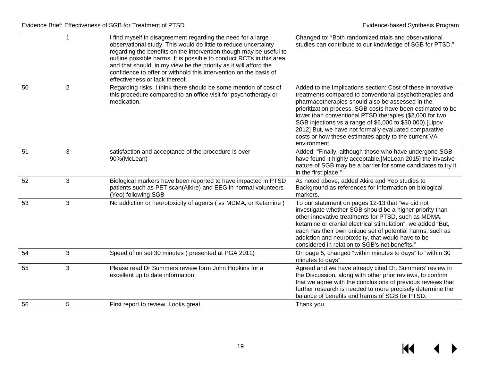|    | 1              | I find myself in disagreement regarding the need for a large<br>observational study. This would do little to reduce uncertainty<br>regarding the benefits on the intervention though may be useful to<br>outline possible harms. It is possible to conduct RCTs in this area<br>and that should, in my view be the priority as it will afford the<br>confidence to offer or withhold this intervention on the basis of<br>effectiveness or lack thereof. | Changed to: "Both randomized trials and observational<br>studies can contribute to our knowledge of SGB for PTSD."                                                                                                                                                                                                                                                                                                                                                                                |
|----|----------------|----------------------------------------------------------------------------------------------------------------------------------------------------------------------------------------------------------------------------------------------------------------------------------------------------------------------------------------------------------------------------------------------------------------------------------------------------------|---------------------------------------------------------------------------------------------------------------------------------------------------------------------------------------------------------------------------------------------------------------------------------------------------------------------------------------------------------------------------------------------------------------------------------------------------------------------------------------------------|
| 50 | $\overline{2}$ | Regarding risks, I think there should be some mention of cost of<br>this procedure compared to an office visit for psychotherapy or<br>medication.                                                                                                                                                                                                                                                                                                       | Added to the Implications section: Cost of these innovative<br>treatments compared to conventional psychotherapies and<br>pharmacotherapies should also be assessed in the<br>prioritization process. SGB costs have been estimated to be<br>lower than conventional PTSD therapies (\$2,000 for two<br>SGB injections vs a range of \$6,000 to \$30,000).[Lipov<br>2012] But, we have not formally evaluated comparative<br>costs or how these estimates apply to the current VA<br>environment. |
| 51 | 3              | satisfaction and acceptance of the procedure is over<br>90%(McLean)                                                                                                                                                                                                                                                                                                                                                                                      | Added: "Finally, although those who have undergone SGB<br>have found it highly acceptable, [McLean 2015] the invasive<br>nature of SGB may be a barrier for some candidates to try it<br>in the first place."                                                                                                                                                                                                                                                                                     |
| 52 | 3              | Biological markers have been reported to have impacted in PTSD<br>patients such as PET scan(Alkire) and EEG in normal volunteers<br>(Yeo) following SGB                                                                                                                                                                                                                                                                                                  | As noted above, added Akire and Yeo studies to<br>Background as references for information on biological<br>markers.                                                                                                                                                                                                                                                                                                                                                                              |
| 53 | 3              | No addiction or neurotoxicity of agents (vs MDMA, or Ketamine)                                                                                                                                                                                                                                                                                                                                                                                           | To our statement on pages 12-13 that "we did not<br>investigate whether SGB should be a higher priority than<br>other innovative treatments for PTSD, such as MDMA,<br>ketamine or cranial electrical stimulation", we added "But,<br>each has their own unique set of potential harms, such as<br>addiction and neurotoxicity, that would have to be<br>considered in relation to SGB's net benefits."                                                                                           |
| 54 | $\mathfrak{S}$ | Speed of on set 30 minutes (presented at PGA 2011)                                                                                                                                                                                                                                                                                                                                                                                                       | On page 5, changed "within minutes to days" to "within 30<br>minutes to days"                                                                                                                                                                                                                                                                                                                                                                                                                     |
| 55 | 3              | Please read Dr Summers review form John Hopkins for a<br>excellent up to date information                                                                                                                                                                                                                                                                                                                                                                | Agreed and we have already cited Dr. Summers' review in<br>the Discussion, along with other prior reviews, to confirm<br>that we agree with the conclusions of previous reviews that<br>further research is needed to more precisely determine the<br>balance of benefits and harms of SGB for PTSD.                                                                                                                                                                                              |
| 56 | 5              | First report to review. Looks great.                                                                                                                                                                                                                                                                                                                                                                                                                     | Thank you.                                                                                                                                                                                                                                                                                                                                                                                                                                                                                        |